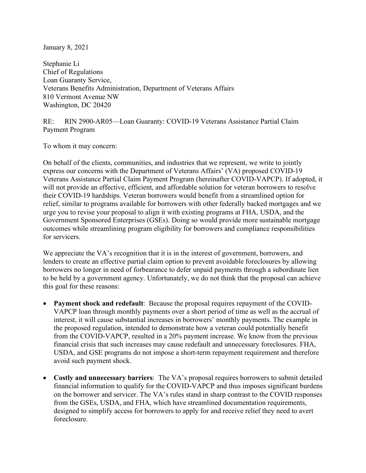January 8, 2021

Stephanie Li Chief of Regulations Loan Guaranty Service, Veterans Benefits Administration, Department of Veterans Affairs 810 Vermont Avenue NW Washington, DC 20420

## RE: RIN 2900-AR05—Loan Guaranty: COVID-19 Veterans Assistance Partial Claim Payment Program

To whom it may concern:

On behalf of the clients, communities, and industries that we represent, we write to jointly express our concerns with the Department of Veterans Affairs' (VA) proposed COVID-19 Veterans Assistance Partial Claim Payment Program (hereinafter COVID-VAPCP). If adopted, it will not provide an effective, efficient, and affordable solution for veteran borrowers to resolve their COVID-19 hardships. Veteran borrowers would benefit from a streamlined option for relief, similar to programs available for borrowers with other federally backed mortgages and we urge you to revise your proposal to align it with existing programs at FHA, USDA, and the Government Sponsored Enterprises (GSEs). Doing so would provide more sustainable mortgage outcomes while streamlining program eligibility for borrowers and compliance responsibilities for servicers.

We appreciate the VA's recognition that it is in the interest of government, borrowers, and lenders to create an effective partial claim option to prevent avoidable foreclosures by allowing borrowers no longer in need of forbearance to defer unpaid payments through a subordinate lien to be held by a government agency. Unfortunately, we do not think that the proposal can achieve this goal for these reasons:

- **Payment shock and redefault**: Because the proposal requires repayment of the COVID-VAPCP loan through monthly payments over a short period of time as well as the accrual of interest, it will cause substantial increases in borrowers' monthly payments. The example in the proposed regulation, intended to demonstrate how a veteran could potentially benefit from the COVID-VAPCP, resulted in a 20% payment increase. We know from the previous financial crisis that such increases may cause redefault and unnecessary foreclosures. FHA, USDA, and GSE programs do not impose a short-term repayment requirement and therefore avoid such payment shock.
- **Costly and unnecessary barriers**: The VA's proposal requires borrowers to submit detailed financial information to qualify for the COVID-VAPCP and thus imposes significant burdens on the borrower and servicer. The VA's rules stand in sharp contrast to the COVID responses from the GSEs, USDA, and FHA, which have streamlined documentation requirements, designed to simplify access for borrowers to apply for and receive relief they need to avert foreclosure.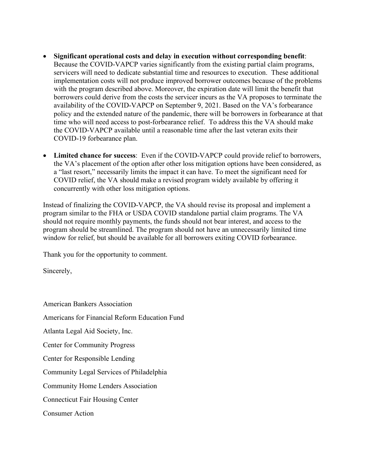- **Significant operational costs and delay in execution without corresponding benefit**: Because the COVID-VAPCP varies significantly from the existing partial claim programs, servicers will need to dedicate substantial time and resources to execution. These additional implementation costs will not produce improved borrower outcomes because of the problems with the program described above. Moreover, the expiration date will limit the benefit that borrowers could derive from the costs the servicer incurs as the VA proposes to terminate the availability of the COVID-VAPCP on September 9, 2021. Based on the VA's forbearance policy and the extended nature of the pandemic, there will be borrowers in forbearance at that time who will need access to post-forbearance relief. To address this the VA should make the COVID-VAPCP available until a reasonable time after the last veteran exits their COVID-19 forbearance plan.
- **Limited chance for success**: Even if the COVID-VAPCP could provide relief to borrowers, the VA's placement of the option after other loss mitigation options have been considered, as a "last resort," necessarily limits the impact it can have. To meet the significant need for COVID relief, the VA should make a revised program widely available by offering it concurrently with other loss mitigation options.

Instead of finalizing the COVID-VAPCP, the VA should revise its proposal and implement a program similar to the FHA or USDA COVID standalone partial claim programs. The VA should not require monthly payments, the funds should not bear interest, and access to the program should be streamlined. The program should not have an unnecessarily limited time window for relief, but should be available for all borrowers exiting COVID forbearance.

Thank you for the opportunity to comment.

Sincerely,

American Bankers Association

Americans for Financial Reform Education Fund

Atlanta Legal Aid Society, Inc.

Center for Community Progress

Center for Responsible Lending

Community Legal Services of Philadelphia

Community Home Lenders Association

Connecticut Fair Housing Center

Consumer Action